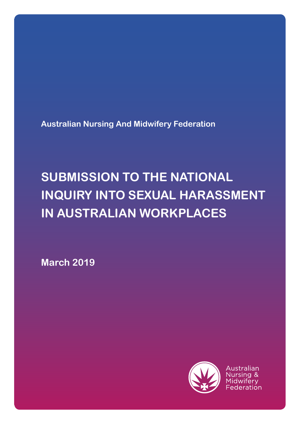**Australian Nursing And Midwifery Federation**

# **SUBMISSION TO THE NATIONAL INQUIRY INTO SEXUAL HARASSMENT IN AUSTRALIAN WORKPLACES**

**March 2019**



Australian Nursing & Midwiferv Federation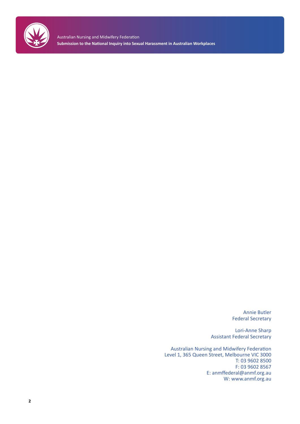

Australian Nursing and Midwifery Federation **Submission to the National Inquiry into Sexual Harassment in Australian Workplaces**

> Annie Butler Federal Secretary

Lori-Anne Sharp Assistant Federal Secretary

Australian Nursing and Midwifery Federation Level 1, 365 Queen Street, Melbourne VIC 3000 T: 03 9602 8500 F: 03 9602 8567 E: anmffederal@anmf.org.au W: www.anmf.org.au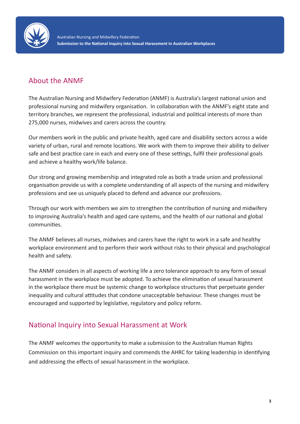

## About the ANMF

The Australian Nursing and Midwifery Federation (ANMF) is Australia's largest national union and professional nursing and midwifery organisation. In collaboration with the ANMF's eight state and territory branches, we represent the professional, industrial and political interests of more than 275,000 nurses, midwives and carers across the country.

Our members work in the public and private health, aged care and disability sectors across a wide variety of urban, rural and remote locations. We work with them to improve their ability to deliver safe and best practice care in each and every one of these settings, fulfil their professional goals and achieve a healthy work/life balance.

Our strong and growing membership and integrated role as both a trade union and professional organisation provide us with a complete understanding of all aspects of the nursing and midwifery professions and see us uniquely placed to defend and advance our professions.

Through our work with members we aim to strengthen the contribution of nursing and midwifery to improving Australia's health and aged care systems, and the health of our national and global communities.

The ANMF believes all nurses, midwives and carers have the right to work in a safe and healthy workplace environment and to perform their work without risks to their physical and psychological health and safety.

The ANMF considers in all aspects of working life a zero tolerance approach to any form of sexual harassment in the workplace must be adopted. To achieve the elimination of sexual harassment in the workplace there must be systemic change to workplace structures that perpetuate gender inequality and cultural attitudes that condone unacceptable behaviour. These changes must be encouraged and supported by legislative, regulatory and policy reform.

## National Inquiry into Sexual Harassment at Work

The ANMF welcomes the opportunity to make a submission to the Australian Human Rights Commission on this important inquiry and commends the AHRC for taking leadership in identifying and addressing the effects of sexual harassment in the workplace.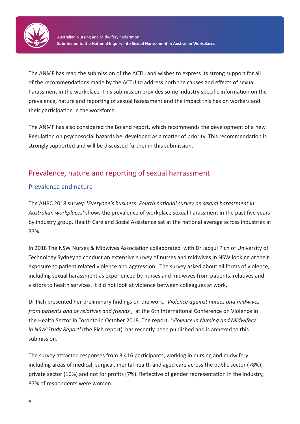

The ANMF has read the submission of the ACTU and wishes to express its strong support for all of the recommendations made by the ACTU to address both the causes and effects of sexual harassment in the workplace. This submission provides some industry specific information on the prevalence, nature and reporting of sexual harassment and the impact this has on workers and their participation in the workforce.

The ANMF has also considered the Boland report, which recommends the development of a new Regulation on psychosocial hazards be developed as a matter of priority. This recommendation is strongly supported and will be discussed further in this submission.

## Prevalence, nature and reporting of sexual harrassment

## Prevalence and nature

The AHRC 2018 survey: '*Everyone's business*: *Fourth national survey on sexual harassment in Australian workplaces'* shows the prevalence of workplace sexual harassment in the past five years by industry group. Health Care and Social Assistance sat at the national average across industries at 33%.

In 2018 The NSW Nurses & Midwives Association collaborated with Dr Jacqui Pich of University of Technology Sydney to conduct an extensive survey of nurses and midwives in NSW looking at their exposure to patient related violence and aggression. The survey asked about all forms of violence, including sexual harassment as experienced by nurses and midwives from patients, relatives and visitors to health services. It did not look at violence between colleagues at work.

Dr Pich presented her preliminary findings on the work, *'Violence against nurses and midwives from patients and or relatives and friends'*, at the 6th International Conference on Violence in the Health Sector in Toronto in October 2018. The report *'Violence in Nursing and Midwifery in NSW:Study Report'* (the Pich report) has recently been published and is annexed to this submission.

The survey attracted responses from 3,416 participants, working in nursing and midwifery including areas of medical, surgical, mental health and aged care across the public sector (78%), private sector (16%) and not for profits (7%). Reflective of gender representation in the industry, 87% of respondents were women.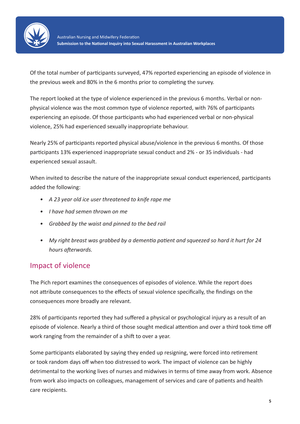

Of the total number of participants surveyed, 47% reported experiencing an episode of violence in the previous week and 80% in the 6 months prior to completing the survey.

The report looked at the type of violence experienced in the previous 6 months. Verbal or nonphysical violence was the most common type of violence reported, with 76% of participants experiencing an episode. Of those participants who had experienced verbal or non-physical violence, 25% had experienced sexually inappropriate behaviour.

Nearly 25% of participants reported physical abuse/violence in the previous 6 months. Of those participants 13% experienced inappropriate sexual conduct and 2% - or 35 individuals - had experienced sexual assault.

When invited to describe the nature of the inappropriate sexual conduct experienced, participants added the following:

- *• A 23 year old ice user threatened to knife rape me*
- *• I have had semen thrown on me*
- *• Grabbed by the waist and pinned to the bed rail*
- *• My right breast was grabbed by a dementia patient and squeezed so hard it hurt for 24 hours afterwards.*

## Impact of violence

The Pich report examines the consequences of episodes of violence. While the report does not attribute consequences to the effects of sexual violence specifically, the findings on the consequences more broadly are relevant.

28% of participants reported they had suffered a physical or psychological injury as a result of an episode of violence. Nearly a third of those sought medical attention and over a third took time off work ranging from the remainder of a shift to over a year.

Some participants elaborated by saying they ended up resigning, were forced into retirement or took random days off when too distressed to work. The impact of violence can be highly detrimental to the working lives of nurses and midwives in terms of time away from work. Absence from work also impacts on colleagues, management of services and care of patients and health care recipients.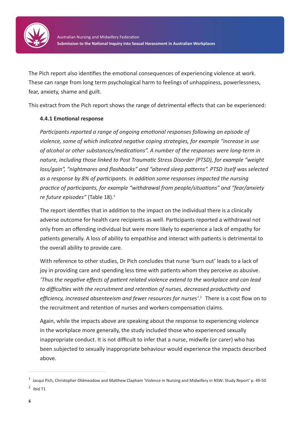

The Pich report also identifies the emotional consequences of experiencing violence at work. These can range from long term psychological harm to feelings of unhappiness, powerlessness, fear, anxiety, shame and guilt.

This extract from the Pich report shows the range of detrimental effects that can be experienced:

#### **4.4.1 Emotional response**

*Participants reported a range of ongoing emotional responses following an episode of violence, some of which indicated negative coping strategies, for example "increase in use of alcohol or other substances/medications". A number of the responses were long-term in nature, including those linked to Post Traumatic Stress Disorder (PTSD), for example "weight loss/gain", "nightmares and flashbacks" and "altered sleep patterns". PTSD itself was selected as a response by 8% of participants. In addition some responses impacted the nursing practice of participants, for example "withdrawal from people/situations" and "fear/anxiety re future episodes"* (Table 18).<sup>1</sup>

The report identifies that in addition to the impact on the individual there is a clinically adverse outcome for health care recipients as well. Participants reported a withdrawal not only from an offending individual but were more likely to experience a lack of empathy for patients generally. A loss of ability to empathise and interact with patients is detrimental to the overall ability to provide care.

With reference to other studies, Dr Pich concludes that nurse 'burn out' leads to a lack of joy in providing care and spending less time with patients whom they perceive as abusive. *'Thus the negative effects of patient related violence extend to the workplace and can lead to difficulties with the recruitment and retention of nurses, decreased productivity and efficiency, increased absenteeism and fewer resources for nurses'*. 2 There is a cost flow on to the recruitment and retention of nurses and workers compensation claims.

Again, while the impacts above are speaking about the response to experiencing violence in the workplace more generally, the study included those who experienced sexually inappropriate conduct. It is not difficult to infer that a nurse, midwife (or carer) who has been subjected to sexually inappropriate behaviour would experience the impacts described above.

 $1$  Jacqui Pich, Christopher Oldmeadow and Matthew Clapham 'Violence in Nursing and Midwifery in NSW: Study Report' p. 49-50  $2$  Ibid 71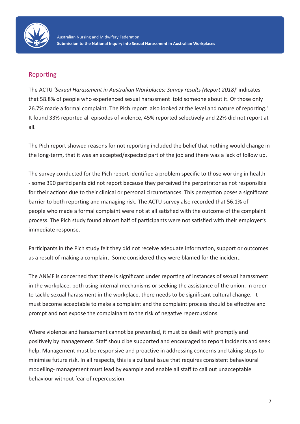

### Reporting

The ACTU *'Sexual Harassment in Australian Workplaces: Survey results (Report 2018)'* indicates that 58.8% of people who experienced sexual harassment told someone about it. Of those only 26.7% made a formal complaint. The Pich report also looked at the level and nature of reporting.<sup>3</sup> It found 33% reported all episodes of violence, 45% reported selectively and 22% did not report at all.

The Pich report showed reasons for not reporting included the belief that nothing would change in the long-term, that it was an accepted/expected part of the job and there was a lack of follow up.

The survey conducted for the Pich report identified a problem specific to those working in health - some 390 participants did not report because they perceived the perpetrator as not responsible for their actions due to their clinical or personal circumstances. This perception poses a significant barrier to both reporting and managing risk. The ACTU survey also recorded that 56.1% of people who made a formal complaint were not at all satisfied with the outcome of the complaint process. The Pich study found almost half of participants were not satisfied with their employer's immediate response.

Participants in the Pich study felt they did not receive adequate information, support or outcomes as a result of making a complaint. Some considered they were blamed for the incident.

The ANMF is concerned that there is significant under reporting of instances of sexual harassment in the workplace, both using internal mechanisms or seeking the assistance of the union. In order to tackle sexual harassment in the workplace, there needs to be significant cultural change. It must become acceptable to make a complaint and the complaint process should be effective and prompt and not expose the complainant to the risk of negative repercussions.

Where violence and harassment cannot be prevented, it must be dealt with promptly and positively by management. Staff should be supported and encouraged to report incidents and seek help. Management must be responsive and proactive in addressing concerns and taking steps to minimise future risk. In all respects, this is a cultural issue that requires consistent behavioural modelling- management must lead by example and enable all staff to call out unacceptable behaviour without fear of repercussion.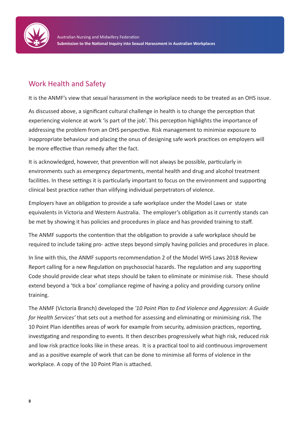

## Work Health and Safety

It is the ANMF's view that sexual harassment in the workplace needs to be treated as an OHS issue.

As discussed above, a significant cultural challenge in health is to change the perception that experiencing violence at work 'is part of the job'. This perception highlights the importance of addressing the problem from an OHS perspective. Risk management to minimise exposure to inappropriate behaviour and placing the onus of designing safe work practices on employers will be more effective than remedy after the fact.

It is acknowledged, however, that prevention will not always be possible, particularly in environments such as emergency departments, mental health and drug and alcohol treatment facilities. In these settings it is particularly important to focus on the environment and supporting clinical best practice rather than vilifying individual perpetrators of violence.

Employers have an obligation to provide a safe workplace under the Model Laws or state equivalents in Victoria and Western Australia. The employer's obligation as it currently stands can be met by showing it has policies and procedures in place and has provided training to staff.

The ANMF supports the contention that the obligation to provide a safe workplace should be required to include taking pro- active steps beyond simply having policies and procedures in place.

In line with this, the ANMF supports recommendation 2 of the Model WHS Laws 2018 Review Report calling for a new Regulation on psychosocial hazards. The regulation and any supporting Code should provide clear what steps should be taken to eliminate or minimise risk. These should extend beyond a 'tick a box' compliance regime of having a policy and providing cursory online training.

The ANMF (Victoria Branch) developed the *'10 Point Plan to End Violence and Aggression: A Guide for Health Services'* that sets out a method for assessing and eliminating or minimising risk. The 10 Point Plan identifies areas of work for example from security, admission practices, reporting, investigating and responding to events. It then describes progressively what high risk, reduced risk and low risk practice looks like in these areas. It is a practical tool to aid continuous improvement and as a positive example of work that can be done to minimise all forms of violence in the workplace. A copy of the 10 Point Plan is attached.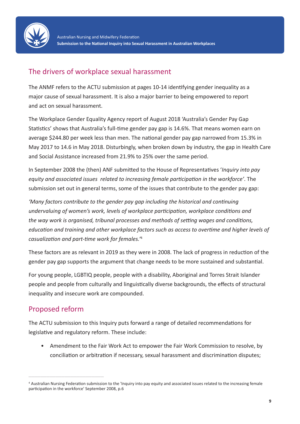

## The drivers of workplace sexual harassment

The ANMF refers to the ACTU submission at pages 10-14 identifying gender inequality as a major cause of sexual harassment. It is also a major barrier to being empowered to report and act on sexual harassment.

The Workplace Gender Equality Agency report of August 2018 'Australia's Gender Pay Gap Statistics' shows that Australia's full-time gender pay gap is 14.6%. That means women earn on average \$244.80 per week less than men. The national gender pay gap narrowed from 15.3% in May 2017 to 14.6 in May 2018. Disturbingly, when broken down by industry, the gap in Health Care and Social Assistance increased from 21.9% to 25% over the same period.

In September 2008 the (then) ANF submitted to the House of Representatives '*Inquiry into pay equity and associated issues related to increasing female participation in the workforce'*. The submission set out in general terms, some of the issues that contribute to the gender pay gap:

*'Many factors contribute to the gender pay gap including the historical and continuing undervaluing of women's work, levels of workplace participation, workplace conditions and the way work is organised, tribunal processes and methods of setting wages and conditions, education and training and other workplace factors such as access to overtime and higher levels of casualization and part-time work for females.'*<sup>4</sup>

These factors are as relevant in 2019 as they were in 2008. The lack of progress in reduction of the gender pay gap supports the argument that change needs to be more sustained and substantial.

For young people, LGBTIQ people, people with a disability, Aboriginal and Torres Strait Islander people and people from culturally and linguistically diverse backgrounds, the effects of structural inequality and insecure work are compounded.

# Proposed reform

\_\_\_\_\_\_\_\_\_\_\_\_\_\_\_\_\_\_\_\_\_\_\_\_\_

The ACTU submission to this Inquiry puts forward a range of detailed recommendations for legislative and regulatory reform. These include:

• Amendment to the Fair Work Act to empower the Fair Work Commission to resolve, by conciliation or arbitration if necessary, sexual harassment and discrimination disputes;

<sup>4</sup> Australian Nursing Federation submission to the 'Inquiry into pay equity and associated issues related to the increasing female participation in the workforce' September 2008, p.6